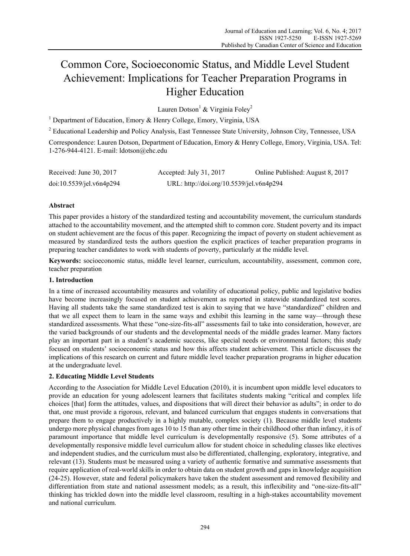# Common Core, Socioeconomic Status, and Middle Level Student Achievement: Implications for Teacher Preparation Programs in Higher Education

Lauren Dotson<sup>1</sup> & Virginia Foley<sup>2</sup>

<sup>1</sup> Department of Education, Emory & Henry College, Emory, Virginia, USA

<sup>2</sup> Educational Leadership and Policy Analysis, East Tennessee State University, Johnson City, Tennessee, USA

Correspondence: Lauren Dotson, Department of Education, Emory & Henry College, Emory, Virginia, USA. Tel: 1-276-944-4121. E-mail: ldotson@ehc.edu

| Received: June 30, 2017     | Accepted: July $31, 2017$                | Online Published: August 8, 2017 |
|-----------------------------|------------------------------------------|----------------------------------|
| $doi:10.5539/je$ l.v6n4p294 | URL: http://doi.org/10.5539/jel.v6n4p294 |                                  |

## **Abstract**

This paper provides a history of the standardized testing and accountability movement, the curriculum standards attached to the accountability movement, and the attempted shift to common core. Student poverty and its impact on student achievement are the focus of this paper. Recognizing the impact of poverty on student achievement as measured by standardized tests the authors question the explicit practices of teacher preparation programs in preparing teacher candidates to work with students of poverty, particularly at the middle level.

**Keywords:** socioeconomic status, middle level learner, curriculum, accountability, assessment, common core, teacher preparation

## **1. Introduction**

In a time of increased accountability measures and volatility of educational policy, public and legislative bodies have become increasingly focused on student achievement as reported in statewide standardized test scores. Having all students take the same standardized test is akin to saying that we have "standardized" children and that we all expect them to learn in the same ways and exhibit this learning in the same way—through these standardized assessments. What these "one-size-fits-all" assessments fail to take into consideration, however, are the varied backgrounds of our students and the developmental needs of the middle grades learner. Many factors play an important part in a student's academic success, like special needs or environmental factors; this study focused on students' socioeconomic status and how this affects student achievement. This article discusses the implications of this research on current and future middle level teacher preparation programs in higher education at the undergraduate level.

# **2. Educating Middle Level Students**

According to the Association for Middle Level Education (2010), it is incumbent upon middle level educators to provide an education for young adolescent learners that facilitates students making "critical and complex life choices [that] form the attitudes, values, and dispositions that will direct their behavior as adults"; in order to do that, one must provide a rigorous, relevant, and balanced curriculum that engages students in conversations that prepare them to engage productively in a highly mutable, complex society (1). Because middle level students undergo more physical changes from ages 10 to 15 than any other time in their childhood other than infancy, it is of paramount importance that middle level curriculum is developmentally responsive (5). Some attributes of a developmentally responsive middle level curriculum allow for student choice in scheduling classes like electives and independent studies, and the curriculum must also be differentiated, challenging, exploratory, integrative, and relevant (13). Students must be measured using a variety of authentic formative and summative assessments that require application of real-world skills in order to obtain data on student growth and gaps in knowledge acquisition (24-25). However, state and federal policymakers have taken the student assessment and removed flexibility and differentiation from state and national assessment models; as a result, this inflexibility and "one-size-fits-all" thinking has trickled down into the middle level classroom, resulting in a high-stakes accountability movement and national curriculum.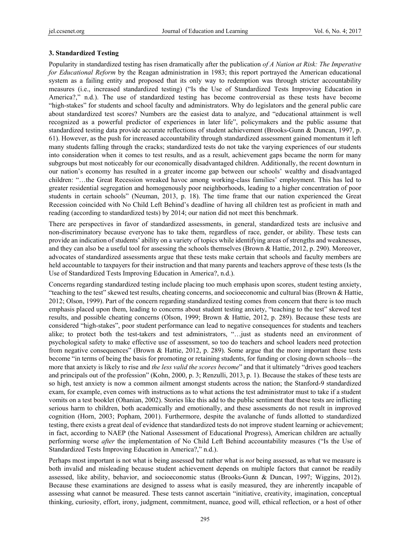#### **3. Standardized Testing**

Popularity in standardized testing has risen dramatically after the publication *of A Nation at Risk: The Imperative for Educational Reform* by the Reagan administration in 1983; this report portrayed the American educational system as a failing entity and proposed that its only way to redemption was through stricter accountability measures (i.e., increased standardized testing) ("Is the Use of Standardized Tests Improving Education in America?," n.d.). The use of standardized testing has become controversial as these tests have become "high-stakes" for students and school faculty and administrators. Why do legislators and the general public care about standardized test scores? Numbers are the easiest data to analyze, and "educational attainment is well recognized as a powerful predictor of experiences in later life", policymakers and the public assume that standardized testing data provide accurate reflections of student achievement (Brooks-Gunn & Duncan, 1997, p. 61). However, as the push for increased accountability through standardized assessment gained momentum it left many students falling through the cracks; standardized tests do not take the varying experiences of our students into consideration when it comes to test results, and as a result, achievement gaps became the norm for many subgroups but most noticeably for our economically disadvantaged children. Additionally, the recent downturn in our nation's economy has resulted in a greater income gap between our schools' wealthy and disadvantaged children: "…the Great Recession wreaked havoc among working-class families' employment. This has led to greater residential segregation and homogenously poor neighborhoods, leading to a higher concentration of poor students in certain schools" (Neuman, 2013, p. 18). The time frame that our nation experienced the Great Recession coincided with No Child Left Behind's deadline of having all children test as proficient in math and reading (according to standardized tests) by 2014; our nation did not meet this benchmark.

There are perspectives in favor of standardized assessments, in general, standardized tests are inclusive and non-discriminatory because everyone has to take them, regardless of race, gender, or ability. These tests can provide an indication of students' ability on a variety of topics while identifying areas of strengths and weaknesses, and they can also be a useful tool for assessing the schools themselves (Brown & Hattie, 2012, p. 290). Moreover, advocates of standardized assessments argue that these tests make certain that schools and faculty members are held accountable to taxpayers for their instruction and that many parents and teachers approve of these tests (Is the Use of Standardized Tests Improving Education in America?, n.d.).

Concerns regarding standardized testing include placing too much emphasis upon scores, student testing anxiety, "teaching to the test" skewed test results, cheating concerns, and socioeconomic and cultural bias (Brown & Hattie, 2012; Olson, 1999). Part of the concern regarding standardized testing comes from concern that there is too much emphasis placed upon them, leading to concerns about student testing anxiety, "teaching to the test" skewed test results, and possible cheating concerns (Olson, 1999; Brown & Hattie, 2012, p. 289). Because these tests are considered "high-stakes", poor student performance can lead to negative consequences for students and teachers alike; to protect both the test-takers and test administrators, "…just as students need an environment of psychological safety to make effective use of assessment, so too do teachers and school leaders need protection from negative consequences" (Brown & Hattie, 2012, p. 289). Some argue that the more important these tests become "in terms of being the basis for promoting or retaining students, for funding or closing down schools—the more that anxiety is likely to rise and *the less valid the scores become*" and that it ultimately "drives good teachers and principals out of the profession" (Kohn, 2000, p. 3; Renzulli, 2013, p. 1). Because the stakes of these tests are so high, test anxiety is now a common ailment amongst students across the nation; the Stanford-9 standardized exam, for example, even comes with instructions as to what actions the test administrator must to take if a student vomits on a test booklet (Ohanian, 2002). Stories like this add to the public sentiment that these tests are inflicting serious harm to children, both academically and emotionally, and these assessments do not result in improved cognition (Horn, 2003; Popham, 2001). Furthermore, despite the avalanche of funds allotted to standardized testing, there exists a great deal of evidence that standardized tests do not improve student learning or achievement; in fact, according to NAEP (the National Assessment of Educational Progress), American children are actually performing worse *after* the implementation of No Child Left Behind accountability measures ("Is the Use of Standardized Tests Improving Education in America?," n.d.).

Perhaps most important is not what is being assessed but rather what is *not* being assessed, as what we measure is both invalid and misleading because student achievement depends on multiple factors that cannot be readily assessed, like ability, behavior, and socioeconomic status (Brooks-Gunn & Duncan, 1997; Wiggins, 2012). Because these examinations are designed to assess what is easily measured, they are inherently incapable of assessing what cannot be measured. These tests cannot ascertain "initiative, creativity, imagination, conceptual thinking, curiosity, effort, irony, judgment, commitment, nuance, good will, ethical reflection, or a host of other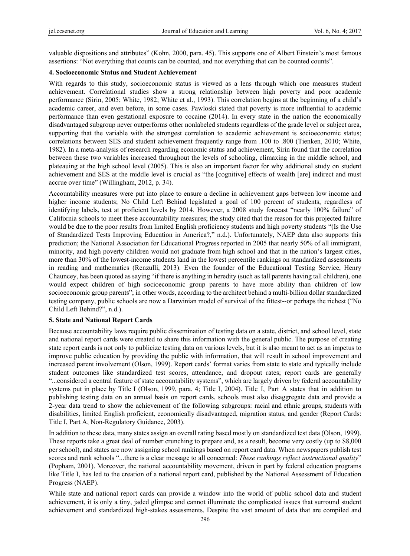valuable dispositions and attributes" (Kohn, 2000, para. 45). This supports one of Albert Einstein's most famous assertions: "Not everything that counts can be counted, and not everything that can be counted counts".

#### **4. Socioeconomic Status and Student Achievement**

With regards to this study, socioeconomic status is viewed as a lens through which one measures student achievement. Correlational studies show a strong relationship between high poverty and poor academic performance (Sirin, 2005; White, 1982; White et al., 1993). This correlation begins at the beginning of a child's academic career, and even before, in some cases. Pawloski stated that poverty is more influential to academic performance than even gestational exposure to cocaine (2014). In every state in the nation the economically disadvantaged subgroup never outperforms other nonlabeled students regardless of the grade level or subject area, supporting that the variable with the strongest correlation to academic achievement is socioeconomic status; correlations between SES and student achievement frequently range from .100 to .800 (Tienken, 2010; White, 1982). In a meta-analysis of research regarding economic status and achievement, Sirin found that the correlation between these two variables increased throughout the levels of schooling, climaxing in the middle school, and plateauing at the high school level (2005). This is also an important factor for why additional study on student achievement and SES at the middle level is crucial as "the [cognitive] effects of wealth [are] indirect and must accrue over time" (Willingham, 2012, p. 34).

Accountability measures were put into place to ensure a decline in achievement gaps between low income and higher income students; No Child Left Behind legislated a goal of 100 percent of students, regardless of identifying labels, test at proficient levels by 2014. However, a 2008 study forecast "nearly 100% failure" of California schools to meet these accountability measures; the study cited that the reason for this projected failure would be due to the poor results from limited English proficiency students and high poverty students "(Is the Use of Standardized Tests Improving Education in America?," n.d.). Unfortunately, NAEP data also supports this prediction; the National Association for Educational Progress reported in 2005 that nearly 50% of all immigrant, minority, and high poverty children would not graduate from high school and that in the nation's largest cities, more than 30% of the lowest-income students land in the lowest percentile rankings on standardized assessments in reading and mathematics (Renzulli, 2013). Even the founder of the Educational Testing Service, Henry Chauncey, has been quoted as saying "if there is anything in heredity (such as tall parents having tall children), one would expect children of high socioeconomic group parents to have more ability than children of low socioeconomic group parents"; in other words, according to the architect behind a multi-billion dollar standardized testing company, public schools are now a Darwinian model of survival of the fittest--or perhaps the richest ("No Child Left Behind?", n.d.).

### **5. State and National Report Cards**

Because accountability laws require public dissemination of testing data on a state, district, and school level, state and national report cards were created to share this information with the general public. The purpose of creating state report cards is not only to publicize testing data on various levels, but it is also meant to act as an impetus to improve public education by providing the public with information, that will result in school improvement and increased parent involvement (Olson, 1999). Report cards' format varies from state to state and typically include student outcomes like standardized test scores, attendance, and dropout rates; report cards are generally "...considered a central feature of state accountability systems", which are largely driven by federal accountability systems put in place by Title I (Olson, 1999, para. 4; Title I, 2004). Title I, Part A states that in addition to publishing testing data on an annual basis on report cards, schools must also disaggregate data and provide a 2-year data trend to show the achievement of the following subgroups: racial and ethnic groups, students with disabilities, limited English proficient, economically disadvantaged, migration status, and gender (Report Cards: Title I, Part A, Non-Regulatory Guidance, 2003).

In addition to these data, many states assign an overall rating based mostly on standardized test data (Olson, 1999). These reports take a great deal of number crunching to prepare and, as a result, become very costly (up to \$8,000 per school), and states are now assigning school rankings based on report card data. When newspapers publish test scores and rank schools "...there is a clear message to all concerned: *These rankings reflect instructional quality*" (Popham, 2001). Moreover, the national accountability movement, driven in part by federal education programs like Title I, has led to the creation of a national report card, published by the National Assessment of Education Progress (NAEP).

While state and national report cards can provide a window into the world of public school data and student achievement, it is only a tiny, jaded glimpse and cannot illuminate the complicated issues that surround student achievement and standardized high-stakes assessments. Despite the vast amount of data that are compiled and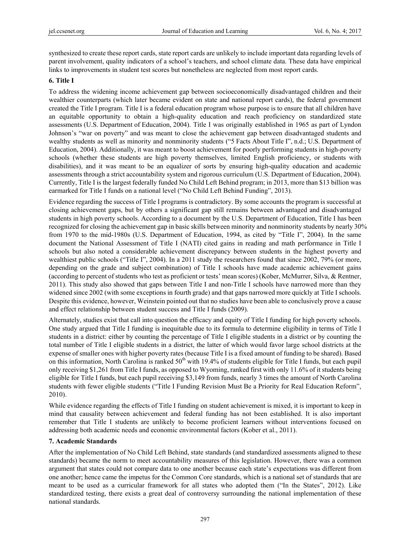synthesized to create these report cards, state report cards are unlikely to include important data regarding levels of parent involvement, quality indicators of a school's teachers, and school climate data. These data have empirical links to improvements in student test scores but nonetheless are neglected from most report cards.

## **6. Title I**

To address the widening income achievement gap between socioeconomically disadvantaged children and their wealthier counterparts (which later became evident on state and national report cards), the federal government created the Title I program. Title I is a federal education program whose purpose is to ensure that all children have an equitable opportunity to obtain a high-quality education and reach proficiency on standardized state assessments (U.S. Department of Education, 2004). Title I was originally established in 1965 as part of Lyndon Johnson's "war on poverty" and was meant to close the achievement gap between disadvantaged students and wealthy students as well as minority and nonminority students ("5 Facts About Title I", n.d.; U.S. Department of Education, 2004). Additionally, it was meant to boost achievement for poorly performing students in high-poverty schools (whether these students are high poverty themselves, limited English proficiency, or students with disabilities), and it was meant to be an equalizer of sorts by ensuring high-quality education and academic assessments through a strict accountability system and rigorous curriculum (U.S. Department of Education, 2004). Currently, Title I is the largest federally funded No Child Left Behind program; in 2013, more than \$13 billion was earmarked for Title I funds on a national level ("No Child Left Behind Funding", 2013).

Evidence regarding the success of Title I programs is contradictory. By some accounts the program is successful at closing achievement gaps, but by others a significant gap still remains between advantaged and disadvantaged students in high poverty schools. According to a document by the U.S. Department of Education, Title I has been recognized for closing the achievement gap in basic skills between minority and nonminority students by nearly 30% from 1970 to the mid-1980s (U.S. Department of Education, 1994, as cited by "Title I", 2004). In the same document the National Assessment of Title I (NATI) cited gains in reading and math performance in Title I schools but also noted a considerable achievement discrepancy between students in the highest poverty and wealthiest public schools ("Title I", 2004). In a 2011 study the researchers found that since 2002, 79% (or more, depending on the grade and subject combination) of Title I schools have made academic achievement gains (according to percent of students who test as proficient or tests' mean scores) (Kober, McMurrer, Silva, & Rentner, 2011). This study also showed that gaps between Title I and non-Title I schools have narrowed more than they widened since 2002 (with some exceptions in fourth grade) and that gaps narrowed more quickly at Title I schools. Despite this evidence, however, Weinstein pointed out that no studies have been able to conclusively prove a cause and effect relationship between student success and Title I funds (2009).

Alternately, studies exist that call into question the efficacy and equity of Title I funding for high poverty schools. One study argued that Title I funding is inequitable due to its formula to determine eligibility in terms of Title I students in a district: either by counting the percentage of Title I eligible students in a district or by counting the total number of Title I eligible students in a district, the latter of which would favor large school districts at the expense of smaller ones with higher poverty rates (because Title I is a fixed amount of funding to be shared). Based on this information, North Carolina is ranked  $50<sup>th</sup>$  with 19.4% of students eligible for Title I funds, but each pupil only receiving \$1,261 from Title I funds, as opposed to Wyoming, ranked first with only 11.6% of it students being eligible for Title I funds, but each pupil receiving \$3,149 from funds, nearly 3 times the amount of North Carolina students with fewer eligible students ("Title I Funding Revision Must Be a Priority for Real Education Reform", 2010).

While evidence regarding the effects of Title I funding on student achievement is mixed, it is important to keep in mind that causality between achievement and federal funding has not been established. It is also important remember that Title I students are unlikely to become proficient learners without interventions focused on addressing both academic needs and economic environmental factors (Kober et al., 2011).

### **7. Academic Standards**

After the implementation of No Child Left Behind, state standards (and standardized assessments aligned to these standards) became the norm to meet accountability measures of this legislation. However, there was a common argument that states could not compare data to one another because each state's expectations was different from one another; hence came the impetus for the Common Core standards, which is a national set of standards that are meant to be used as a curricular framework for all states who adopted them ("In the States", 2012). Like standardized testing, there exists a great deal of controversy surrounding the national implementation of these national standards.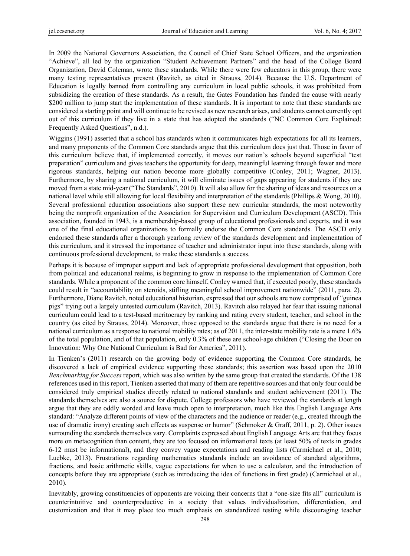In 2009 the National Governors Association, the Council of Chief State School Officers, and the organization "Achieve", all led by the organization "Student Achievement Partners" and the head of the College Board Organization, David Coleman, wrote these standards. While there were few educators in this group, there were many testing representatives present (Ravitch, as cited in Strauss, 2014). Because the U.S. Department of Education is legally banned from controlling any curriculum in local public schools, it was prohibited from subsidizing the creation of these standards. As a result, the Gates Foundation has funded the cause with nearly \$200 million to jump start the implementation of these standards. It is important to note that these standards are considered a starting point and will continue to be revised as new research arises, and students cannot currently opt out of this curriculum if they live in a state that has adopted the standards ("NC Common Core Explained: Frequently Asked Questions", n.d.).

Wiggins (1991) asserted that a school has standards when it communicates high expectations for all its learners, and many proponents of the Common Core standards argue that this curriculum does just that. Those in favor of this curriculum believe that, if implemented correctly, it moves our nation's schools beyond superficial "test preparation" curriculum and gives teachers the opportunity for deep, meaningful learning through fewer and more rigorous standards, helping our nation become more globally competitive (Conley, 2011; Wagner, 2013). Furthermore, by sharing a national curriculum, it will eliminate issues of gaps appearing for students if they are moved from a state mid-year ("The Standards", 2010). It will also allow for the sharing of ideas and resources on a national level while still allowing for local flexibility and interpretation of the standards (Phillips & Wong, 2010). Several professional education associations also support these new curricular standards, the most noteworthy being the nonprofit organization of the Association for Supervision and Curriculum Development (ASCD). This association, founded in 1943, is a membership-based group of educational professionals and experts, and it was one of the final educational organizations to formally endorse the Common Core standards. The ASCD only endorsed these standards after a thorough yearlong review of the standards development and implementation of this curriculum, and it stressed the importance of teacher and administrator input into these standards, along with continuous professional development, to make these standards a success.

Perhaps it is because of improper support and lack of appropriate professional development that opposition, both from political and educational realms, is beginning to grow in response to the implementation of Common Core standards. While a proponent of the common core himself, Conley warned that, if executed poorly, these standards could result in "accountability on steroids, stifling meaningful school improvement nationwide" (2011, para. 2). Furthermore, Diane Ravitch, noted educational historian, expressed that our schools are now comprised of "guinea pigs" trying out a largely untested curriculum (Ravitch, 2013). Ravitch also relayed her fear that issuing national curriculum could lead to a test-based meritocracy by ranking and rating every student, teacher, and school in the country (as cited by Strauss, 2014). Moreover, those opposed to the standards argue that there is no need for a national curriculum as a response to national mobility rates; as of 2011, the inter-state mobility rate is a mere 1.6% of the total population, and of that population, only 0.3% of these are school-age children ("Closing the Door on Innovation: Why One National Curriculum is Bad for America", 2011).

In Tienken's (2011) research on the growing body of evidence supporting the Common Core standards, he discovered a lack of empirical evidence supporting these standards; this assertion was based upon the 2010 *Benchmarking for Success* report, which was also written by the same group that created the standards. Of the 138 references used in this report, Tienken asserted that many of them are repetitive sources and that only four could be considered truly empirical studies directly related to national standards and student achievement (2011). The standards themselves are also a source for dispute. College professors who have reviewed the standards at length argue that they are oddly worded and leave much open to interpretation, much like this English Language Arts standard: "Analyze different points of view of the characters and the audience or reader (e.g., created through the use of dramatic irony) creating such effects as suspense or humor" (Schmoker & Graff, 2011, p. 2). Other issues surrounding the standards themselves vary. Complaints expressed about English Language Arts are that they focus more on metacognition than content, they are too focused on informational texts (at least 50% of texts in grades 6-12 must be informational), and they convey vague expectations and reading lists (Carmichael et al., 2010; Luebke, 2013). Frustrations regarding mathematics standards include an avoidance of standard algorithms, fractions, and basic arithmetic skills, vague expectations for when to use a calculator, and the introduction of concepts before they are appropriate (such as introducing the idea of functions in first grade) (Carmichael et al., 2010).

Inevitably, growing constituencies of opponents are voicing their concerns that a "one-size fits all" curriculum is counterintuitive and counterproductive in a society that values individualization, differentiation, and customization and that it may place too much emphasis on standardized testing while discouraging teacher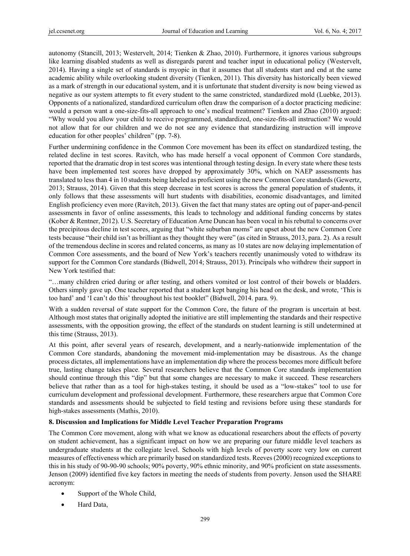autonomy (Stancill, 2013; Westervelt, 2014; Tienken & Zhao, 2010). Furthermore, it ignores various subgroups like learning disabled students as well as disregards parent and teacher input in educational policy (Westervelt, 2014). Having a single set of standards is myopic in that it assumes that all students start and end at the same academic ability while overlooking student diversity (Tienken, 2011). This diversity has historically been viewed as a mark of strength in our educational system, and it is unfortunate that student diversity is now being viewed as negative as our system attempts to fit every student to the same constricted, standardized mold (Luebke, 2013). Opponents of a nationalized, standardized curriculum often draw the comparison of a doctor practicing medicine: would a person want a one-size-fits-all approach to one's medical treatment? Tienken and Zhao (2010) argued: "Why would you allow your child to receive programmed, standardized, one-size-fits-all instruction? We would not allow that for our children and we do not see any evidence that standardizing instruction will improve education for other peoples' children" (pp. 7-8).

Further undermining confidence in the Common Core movement has been its effect on standardized testing, the related decline in test scores. Ravitch, who has made herself a vocal opponent of Common Core standards, reported that the dramatic drop in test scores was intentional through testing design. In every state where these tests have been implemented test scores have dropped by approximately 30%, which on NAEP assessments has translated to less than 4 in 10 students being labeled as proficient using the new Common Core standards (Gewertz, 2013; Strauss, 2014). Given that this steep decrease in test scores is across the general population of students, it only follows that these assessments will hurt students with disabilities, economic disadvantages, and limited English proficiency even more (Ravitch, 2013). Given the fact that many states are opting out of paper-and-pencil assessments in favor of online assessments, this leads to technology and additional funding concerns by states (Kober & Rentner, 2012). U.S. Secretary of Education Arne Duncan has been vocal in his rebuttal to concerns over the precipitous decline in test scores, arguing that "white suburban moms" are upset about the new Common Core tests because "their child isn't as brilliant as they thought they were" (as cited in Strauss, 2013, para. 2). As a result of the tremendous decline in scores and related concerns, as many as 10 states are now delaying implementation of Common Core assessments, and the board of New York's teachers recently unanimously voted to withdraw its support for the Common Core standards (Bidwell, 2014; Strauss, 2013). Principals who withdrew their support in New York testified that:

"…many children cried during or after testing, and others vomited or lost control of their bowels or bladders. Others simply gave up. One teacher reported that a student kept banging his head on the desk, and wrote, 'This is too hard' and 'I can't do this' throughout his test booklet" (Bidwell, 2014. para. 9).

With a sudden reversal of state support for the Common Core, the future of the program is uncertain at best. Although most states that originally adopted the initiative are still implementing the standards and their respective assessments, with the opposition growing, the effect of the standards on student learning is still undetermined at this time (Strauss, 2013).

At this point, after several years of research, development, and a nearly-nationwide implementation of the Common Core standards, abandoning the movement mid-implementation may be disastrous. As the change process dictates, all implementations have an implementation dip where the process becomes more difficult before true, lasting change takes place. Several researchers believe that the Common Core standards implementation should continue through this "dip" but that some changes are necessary to make it succeed. These researchers believe that rather than as a tool for high-stakes testing, it should be used as a "low-stakes" tool to use for curriculum development and professional development. Furthermore, these researchers argue that Common Core standards and assessments should be subjected to field testing and revisions before using these standards for high-stakes assessments (Mathis, 2010).

# **8. Discussion and Implications for Middle Level Teacher Preparation Programs**

The Common Core movement, along with what we know as educational researchers about the effects of poverty on student achievement, has a significant impact on how we are preparing our future middle level teachers as undergraduate students at the collegiate level. Schools with high levels of poverty score very low on current measures of effectiveness which are primarily based on standardized tests. Reeves (2000) recognized exceptions to this in his study of 90-90-90 schools; 90% poverty, 90% ethnic minority, and 90% proficient on state assessments. Jenson (2009) identified five key factors in meeting the needs of students from poverty. Jenson used the SHARE acronym:

- Support of the Whole Child,
- Hard Data,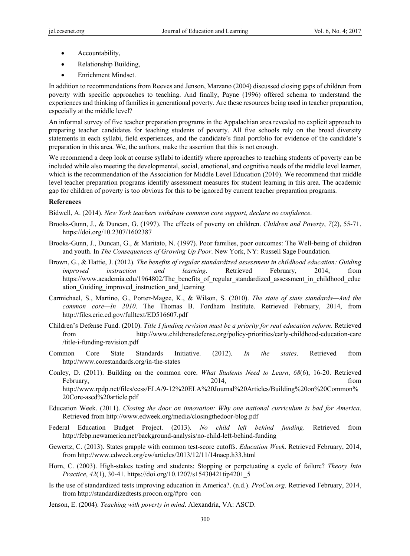- Accountability,
- Relationship Building,
- Enrichment Mindset.

In addition to recommendations from Reeves and Jenson, Marzano (2004) discussed closing gaps of children from poverty with specific approaches to teaching. And finally, Payne (1996) offered schema to understand the experiences and thinking of families in generational poverty. Are these resources being used in teacher preparation, especially at the middle level?

An informal survey of five teacher preparation programs in the Appalachian area revealed no explicit approach to preparing teacher candidates for teaching students of poverty. All five schools rely on the broad diversity statements in each syllabi, field experiences, and the candidate's final portfolio for evidence of the candidate's preparation in this area. We, the authors, make the assertion that this is not enough.

We recommend a deep look at course syllabi to identify where approaches to teaching students of poverty can be included while also meeting the developmental, social, emotional, and cognitive needs of the middle level learner, which is the recommendation of the Association for Middle Level Education (2010). We recommend that middle level teacher preparation programs identify assessment measures for student learning in this area. The academic gap for children of poverty is too obvious for this to be ignored by current teacher preparation programs.

#### **References**

Bidwell, A. (2014). *New York teachers withdraw common core support, declare no confidence*.

- Brooks-Gunn, J., & Duncan, G. (1997). The effects of poverty on children. *Children and Poverty*, *7*(2), 55-71. https://doi.org/10.2307/1602387
- Brooks-Gunn, J., Duncan, G., & Maritato, N. (1997). Poor families, poor outcomes: The Well-being of children and youth. In *The Consequences of Growing Up Poor*. New York, NY: Russell Sage Foundation.
- Brown, G., & Hattie, J. (2012). *The benefits of regular standardized assessment in childhood education: Guiding improved instruction and learning*. Retrieved February, 2014, from https://www.academia.edu/1964802/The\_benefits\_of\_regular\_standardized\_assessment\_in\_childhood\_educ ation\_Guiding\_improved\_instruction\_and\_learning
- Carmichael, S., Martino, G., Porter-Magee, K., & Wilson, S. (2010). *The state of state standards—And the common core—In 2010*. The Thomas B. Fordham Institute. Retrieved February, 2014, from http://files.eric.ed.gov/fulltext/ED516607.pdf
- Children's Defense Fund. (2010). *Title I funding revision must be a priority for real education reform*. Retrieved from http://www.childrensdefense.org/policy-priorities/early-childhood-education-care /title-i-funding-revision.pdf
- Common Core State Standards Initiative. (2012). *In the states*. Retrieved from http://www.corestandards.org/in-the-states
- Conley, D. (2011). Building on the common core. *What Students Need to Learn*, *68*(6), 16-20. Retrieved February, the contract of the contract of the contract of the contract of the contract of the contract of the contract of the contract of the contract of the contract of the contract of the contract of the contract of the http://www.rpdp.net/files/ccss/ELA/9-12%20ELA%20Journal%20Articles/Building%20on%20Common% 20Core-ascd%20article.pdf
- Education Week. (2011). *Closing the door on innovation: Why one national curriculum is bad for America*. Retrieved from http://www.edweek.org/media/closingthedoor-blog.pdf
- Federal Education Budget Project. (2013). *No child left behind funding*. Retrieved from http://febp.newamerica.net/background-analysis/no-child-left-behind-funding
- Gewertz, C. (2013). States grapple with common test-score cutoffs. *Education Week*. Retrieved February, 2014, from http://www.edweek.org/ew/articles/2013/12/11/14naep.h33.html
- Horn, C. (2003). High-stakes testing and students: Stopping or perpetuating a cycle of failure? *Theory Into Practice*, *42*(1), 30-41. https://doi.org/10.1207/s15430421tip4201\_5
- Is the use of standardized tests improving education in America?. (n.d.). *ProCon.org*. Retrieved February, 2014, from http://standardizedtests.procon.org/#pro\_con
- Jenson, E. (2004). *Teaching with poverty in mind*. Alexandria, VA: ASCD.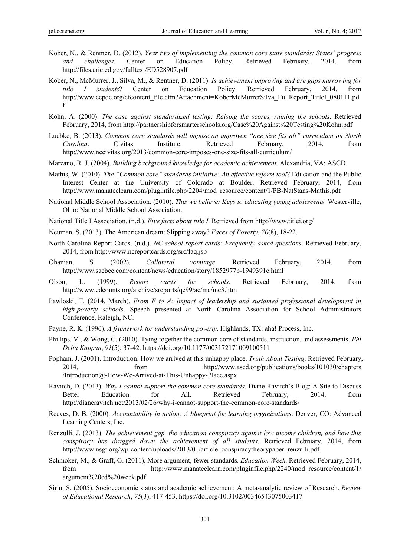- Kober, N., & Rentner, D. (2012). *Year two of implementing the common core state standards: States' progress and challenges*. Center on Education Policy. Retrieved February, 2014, from http://files.eric.ed.gov/fulltext/ED528907.pdf
- Kober, N., McMurrer, J., Silva, M., & Rentner, D. (2011). *Is achievement improving and are gaps narrowing for title I students*? Center on Education Policy. Retrieved February, 2014, from http://www.cepdc.org/cfcontent\_file.cfm?Attachment=KoberMcMurrerSilva\_FullReport\_TitleI\_080111.pd f
- Kohn, A. (2000). *The case against standardized testing: Raising the scores, ruining the schools*. Retrieved February, 2014, from http://partnershipforsmarterschools.org/Case%20Against%20Testing%20Kohn.pdf
- Luebke, B. (2013). *Common core standards will impose an unproven "one size fits all" curriculum on North Carolina*. Civitas Institute. Retrieved February, 2014, from http://www.nccivitas.org/2013/common-core-imposes-one-size-fits-all-curriculum/
- Marzano, R. J. (2004). *Building background knowledge for academic achievement*. Alexandria, VA: ASCD.
- Mathis, W. (2010). *The "Common core" standards initiative: An effective reform tool*? Education and the Public Interest Center at the University of Colorado at Boulder. Retrieved February, 2014, from http://www.manateelearn.com/pluginfile.php/2204/mod\_resource/content/1/PB-NatStans-Mathis.pdf
- National Middle School Association. (2010). *This we believe: Keys to educating young adolescents*. Westerville, Ohio: National Middle School Association.
- National Title I Association. (n.d.). *Five facts about title I*. Retrieved from http://www.titlei.org/
- Neuman, S. (2013). The American dream: Slipping away? *Faces of Poverty*, *70*(8), 18-22.
- North Carolina Report Cards. (n.d.). *NC school report cards: Frequently asked questions*. Retrieved February, 2014, from http://www.ncreportcards.org/src/faq.jsp
- Ohanian, S. (2002). *Collateral vomitage*. Retrieved February, 2014, from http://www.sacbee.com/content/news/education/story/1852977p-1949391c.html
- Olson, L. (1999). *Report cards for schools*. Retrieved February, 2014, from http://www.edcounts.org/archive/sreports/qc99/ac/mc/mc3.htm
- Pawloski, T. (2014, March). *From F to A: Impact of leadership and sustained professional development in high-poverty schools*. Speech presented at North Carolina Association for School Administrators Conference, Raleigh, NC.
- Payne, R. K. (1996). *A framework for understanding poverty*. Highlands, TX: aha! Process, Inc.
- Phillips, V., & Wong, C. (2010). Tying together the common core of standards, instruction, and assessments. *Phi Delta Kappan*, *91*(5), 37-42. https://doi.org/10.1177/003172171009100511
- Popham, J. (2001). Introduction: How we arrived at this unhappy place. *Truth About Testing*. Retrieved February, 2014, from http://www.ascd.org/publications/books/101030/chapters /Introduction@-How-We-Arrived-at-This-Unhappy-Place.aspx
- Ravitch, D. (2013). *Why I cannot support the common core standards*. Diane Ravitch's Blog: A Site to Discuss Better Education for All. Retrieved February, 2014, from http://dianeravitch.net/2013/02/26/why-i-cannot-support-the-common-core-standards/
- Reeves, D. B. (2000). *Accountability in action: A blueprint for learning organizations*. Denver, CO: Advanced Learning Centers, Inc.
- Renzulli, J. (2013). *The achievement gap, the education conspiracy against low income children, and how this conspiracy has dragged down the achievement of all students*. Retrieved February, 2014, from http://www.nsgt.org/wp-content/uploads/2013/01/article\_conspiracytheorypaper\_renzulli.pdf
- Schmoker, M., & Graff, G. (2011). More argument, fewer standards. *Education Week*. Retrieved February, 2014, from http://www.manateelearn.com/pluginfile.php/2240/mod\_resource/content/1/ argument%20ed%20week.pdf
- Sirin, S. (2005). Socioeconomic status and academic achievement: A meta-analytic review of Research. *Review of Educational Research*, *75*(3), 417-453. https://doi.org/10.3102/00346543075003417